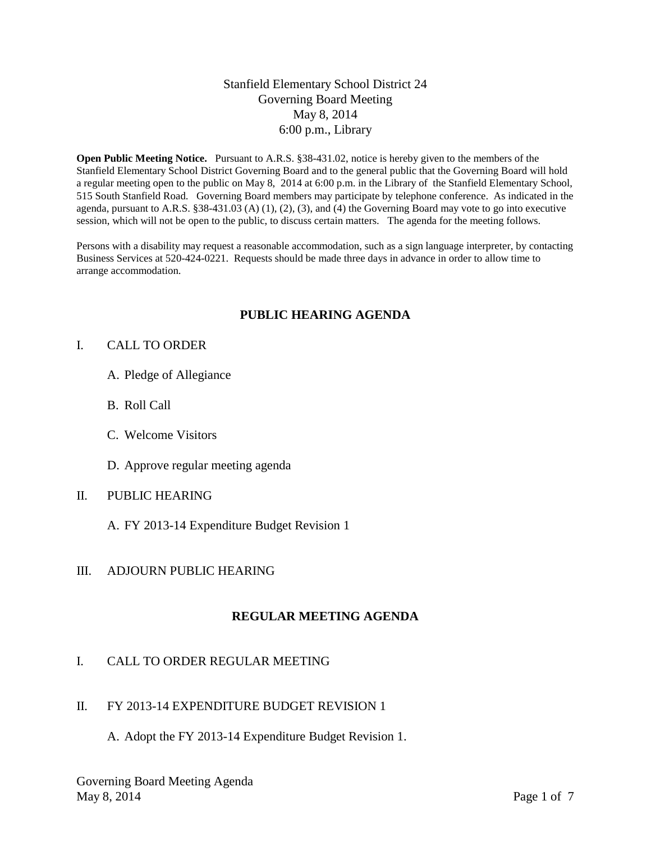### Stanfield Elementary School District 24 Governing Board Meeting May 8, 2014 6:00 p.m., Library

**Open Public Meeting Notice.** Pursuant to A.R.S. §38-431.02, notice is hereby given to the members of the Stanfield Elementary School District Governing Board and to the general public that the Governing Board will hold a regular meeting open to the public on May 8, 2014 at 6:00 p.m. in the Library of the Stanfield Elementary School, 515 South Stanfield Road. Governing Board members may participate by telephone conference. As indicated in the agenda, pursuant to A.R.S. §38-431.03 (A) (1), (2), (3), and (4) the Governing Board may vote to go into executive session, which will not be open to the public, to discuss certain matters. The agenda for the meeting follows.

Persons with a disability may request a reasonable accommodation, such as a sign language interpreter, by contacting Business Services at 520-424-0221. Requests should be made three days in advance in order to allow time to arrange accommodation.

## **PUBLIC HEARING AGENDA**

#### I. CALL TO ORDER

- A. Pledge of Allegiance
- B. Roll Call
- C. Welcome Visitors
- D. Approve regular meeting agenda

#### II. PUBLIC HEARING

A. FY 2013-14 Expenditure Budget Revision 1

#### III. ADJOURN PUBLIC HEARING

#### **REGULAR MEETING AGENDA**

## I. CALL TO ORDER REGULAR MEETING

#### II. FY 2013-14 EXPENDITURE BUDGET REVISION 1

A. Adopt the FY 2013-14 Expenditure Budget Revision 1.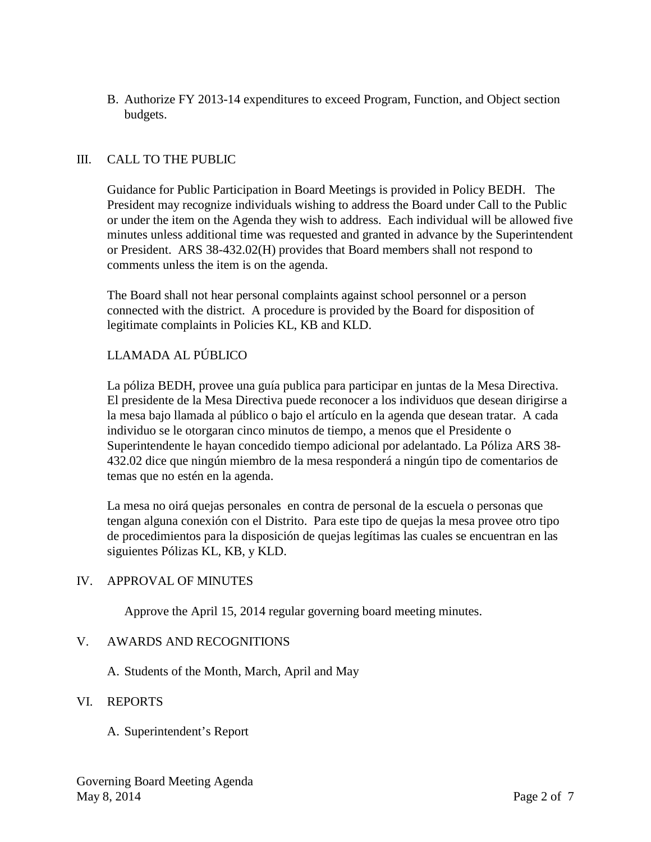B. Authorize FY 2013-14 expenditures to exceed Program, Function, and Object section budgets.

# III. CALL TO THE PUBLIC

Guidance for Public Participation in Board Meetings is provided in Policy BEDH. The President may recognize individuals wishing to address the Board under Call to the Public or under the item on the Agenda they wish to address. Each individual will be allowed five minutes unless additional time was requested and granted in advance by the Superintendent or President. ARS 38-432.02(H) provides that Board members shall not respond to comments unless the item is on the agenda.

The Board shall not hear personal complaints against school personnel or a person connected with the district. A procedure is provided by the Board for disposition of legitimate complaints in Policies KL, KB and KLD.

# LLAMADA AL PÚBLICO

La póliza BEDH, provee una guía publica para participar en juntas de la Mesa Directiva. El presidente de la Mesa Directiva puede reconocer a los individuos que desean dirigirse a la mesa bajo llamada al público o bajo el artículo en la agenda que desean tratar. A cada individuo se le otorgaran cinco minutos de tiempo, a menos que el Presidente o Superintendente le hayan concedido tiempo adicional por adelantado. La Póliza ARS 38- 432.02 dice que ningún miembro de la mesa responderá a ningún tipo de comentarios de temas que no estén en la agenda.

La mesa no oirá quejas personales en contra de personal de la escuela o personas que tengan alguna conexión con el Distrito. Para este tipo de quejas la mesa provee otro tipo de procedimientos para la disposición de quejas legítimas las cuales se encuentran en las siguientes Pólizas KL, KB, y KLD.

## IV. APPROVAL OF MINUTES

Approve the April 15, 2014 regular governing board meeting minutes.

## V. AWARDS AND RECOGNITIONS

A. Students of the Month, March, April and May

#### VI. REPORTS

A. Superintendent's Report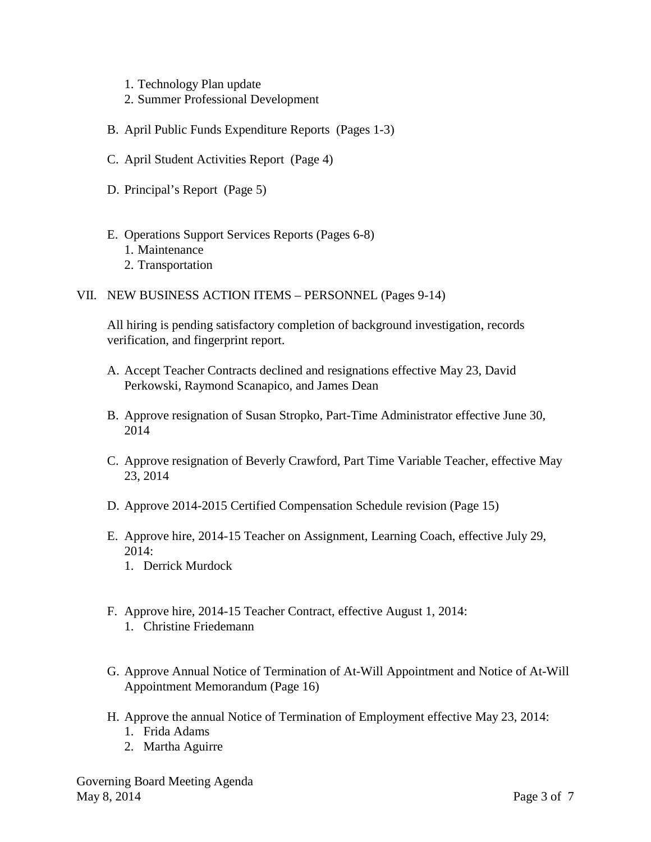- 1. Technology Plan update
- 2. Summer Professional Development
- B. April Public Funds Expenditure Reports (Pages 1-3)
- C. April Student Activities Report (Page 4)
- D. Principal's Report (Page 5)
- E. Operations Support Services Reports (Pages 6-8) 1. Maintenance
	- 2. Transportation
- VII. NEW BUSINESS ACTION ITEMS PERSONNEL (Pages 9-14)

All hiring is pending satisfactory completion of background investigation, records verification, and fingerprint report.

- A. Accept Teacher Contracts declined and resignations effective May 23, David Perkowski, Raymond Scanapico, and James Dean
- B. Approve resignation of Susan Stropko, Part-Time Administrator effective June 30, 2014
- C. Approve resignation of Beverly Crawford, Part Time Variable Teacher, effective May 23, 2014
- D. Approve 2014-2015 Certified Compensation Schedule revision (Page 15)
- E. Approve hire, 2014-15 Teacher on Assignment, Learning Coach, effective July 29, 2014:
	- 1. Derrick Murdock
- F. Approve hire, 2014-15 Teacher Contract, effective August 1, 2014: 1. Christine Friedemann
- G. Approve Annual Notice of Termination of At-Will Appointment and Notice of At-Will Appointment Memorandum (Page 16)
- H. Approve the annual Notice of Termination of Employment effective May 23, 2014:
	- 1. Frida Adams
	- 2. Martha Aguirre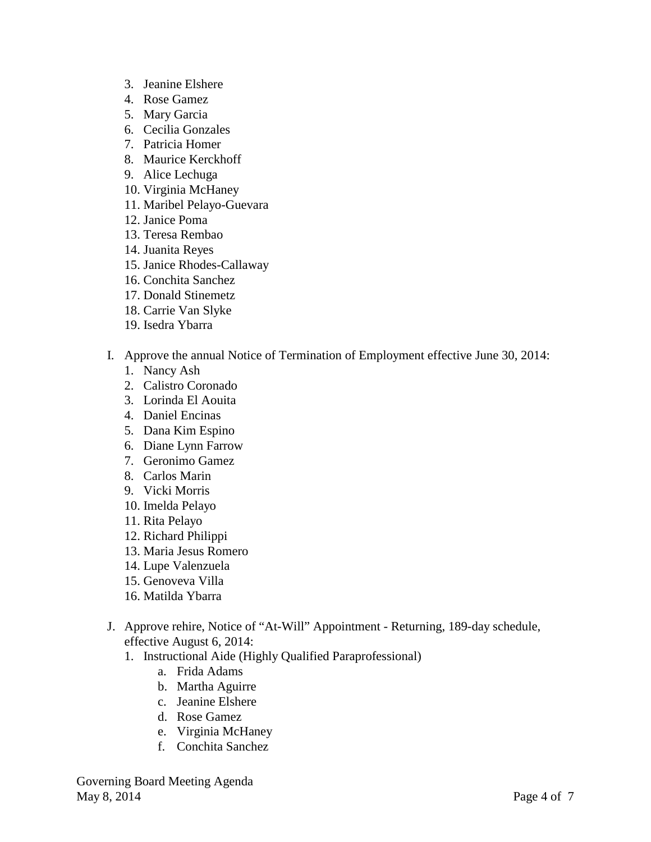- 3. Jeanine Elshere
- 4. Rose Gamez
- 5. Mary Garcia
- 6. Cecilia Gonzales
- 7. Patricia Homer
- 8. Maurice Kerckhoff
- 9. Alice Lechuga
- 10. Virginia McHaney
- 11. Maribel Pelayo-Guevara
- 12. Janice Poma
- 13. Teresa Rembao
- 14. Juanita Reyes
- 15. Janice Rhodes-Callaway
- 16. Conchita Sanchez
- 17. Donald Stinemetz
- 18. Carrie Van Slyke
- 19. Isedra Ybarra
- I. Approve the annual Notice of Termination of Employment effective June 30, 2014:
	- 1. Nancy Ash
	- 2. Calistro Coronado
	- 3. Lorinda El Aouita
	- 4. Daniel Encinas
	- 5. Dana Kim Espino
	- 6. Diane Lynn Farrow
	- 7. Geronimo Gamez
	- 8. Carlos Marin
	- 9. Vicki Morris
	- 10. Imelda Pelayo
	- 11. Rita Pelayo
	- 12. Richard Philippi
	- 13. Maria Jesus Romero
	- 14. Lupe Valenzuela
	- 15. Genoveva Villa
	- 16. Matilda Ybarra
- J. Approve rehire, Notice of "At-Will" Appointment Returning, 189-day schedule, effective August 6, 2014:
	- 1. Instructional Aide (Highly Qualified Paraprofessional)
		- a. Frida Adams
		- b. Martha Aguirre
		- c. Jeanine Elshere
		- d. Rose Gamez
		- e. Virginia McHaney
		- f. Conchita Sanchez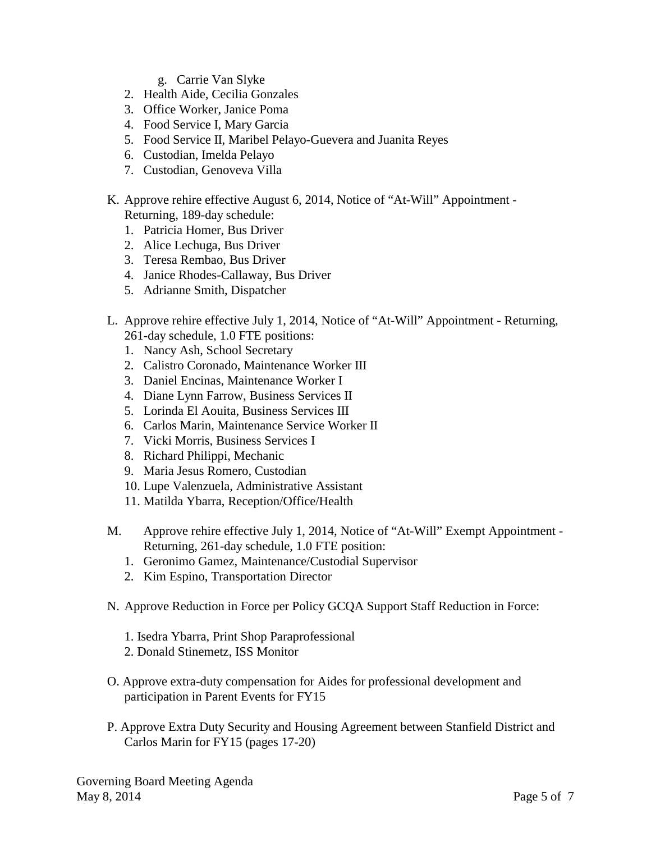- g. Carrie Van Slyke
- 2. Health Aide, Cecilia Gonzales
- 3. Office Worker, Janice Poma
- 4. Food Service I, Mary Garcia
- 5. Food Service II, Maribel Pelayo-Guevera and Juanita Reyes
- 6. Custodian, Imelda Pelayo
- 7. Custodian, Genoveva Villa
- K. Approve rehire effective August 6, 2014, Notice of "At-Will" Appointment Returning, 189-day schedule:
	- 1. Patricia Homer, Bus Driver
	- 2. Alice Lechuga, Bus Driver
	- 3. Teresa Rembao, Bus Driver
	- 4. Janice Rhodes-Callaway, Bus Driver
	- 5. Adrianne Smith, Dispatcher
- L. Approve rehire effective July 1, 2014, Notice of "At-Will" Appointment Returning, 261-day schedule, 1.0 FTE positions:
	- 1. Nancy Ash, School Secretary
	- 2. Calistro Coronado, Maintenance Worker III
	- 3. Daniel Encinas, Maintenance Worker I
	- 4. Diane Lynn Farrow, Business Services II
	- 5. Lorinda El Aouita, Business Services III
	- 6. Carlos Marin, Maintenance Service Worker II
	- 7. Vicki Morris, Business Services I
	- 8. Richard Philippi, Mechanic
	- 9. Maria Jesus Romero, Custodian
	- 10. Lupe Valenzuela, Administrative Assistant
	- 11. Matilda Ybarra, Reception/Office/Health
- M. Approve rehire effective July 1, 2014, Notice of "At-Will" Exempt Appointment Returning, 261-day schedule, 1.0 FTE position:
	- 1. Geronimo Gamez, Maintenance/Custodial Supervisor
	- 2. Kim Espino, Transportation Director
- N. Approve Reduction in Force per Policy GCQA Support Staff Reduction in Force:
	- 1. Isedra Ybarra, Print Shop Paraprofessional
	- 2. Donald Stinemetz, ISS Monitor
- O. Approve extra-duty compensation for Aides for professional development and participation in Parent Events for FY15
- P. Approve Extra Duty Security and Housing Agreement between Stanfield District and Carlos Marin for FY15 (pages 17-20)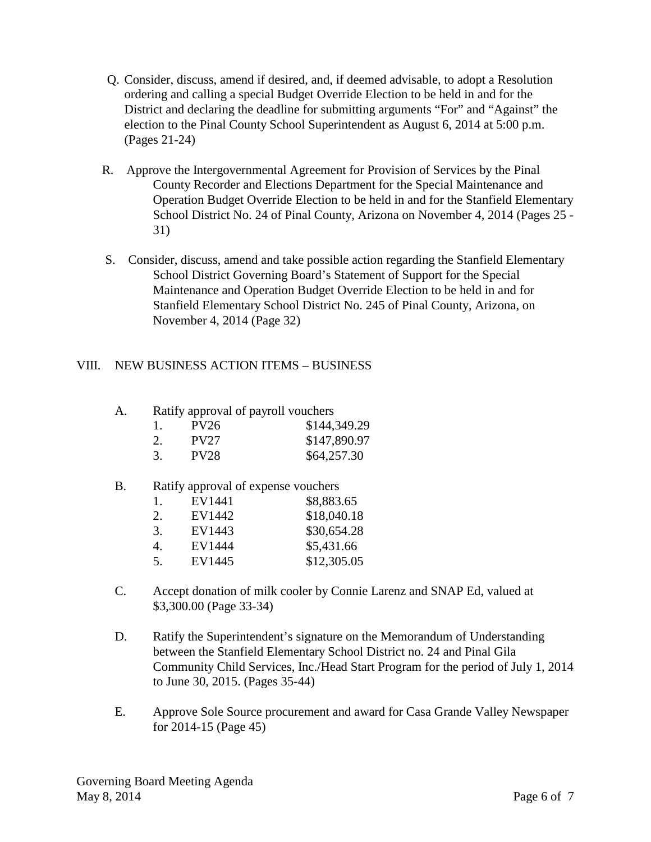- Q. Consider, discuss, amend if desired, and, if deemed advisable, to adopt a Resolution ordering and calling a special Budget Override Election to be held in and for the District and declaring the deadline for submitting arguments "For" and "Against" the election to the Pinal County School Superintendent as August 6, 2014 at 5:00 p.m. (Pages 21-24)
- R. Approve the Intergovernmental Agreement for Provision of Services by the Pinal County Recorder and Elections Department for the Special Maintenance and Operation Budget Override Election to be held in and for the Stanfield Elementary School District No. 24 of Pinal County, Arizona on November 4, 2014 (Pages 25 - 31)
- S. Consider, discuss, amend and take possible action regarding the Stanfield Elementary School District Governing Board's Statement of Support for the Special Maintenance and Operation Budget Override Election to be held in and for Stanfield Elementary School District No. 245 of Pinal County, Arizona, on November 4, 2014 (Page 32)

## VIII. NEW BUSINESS ACTION ITEMS – BUSINESS

| А. | Ratify approval of payroll vouchers |             |              |  |
|----|-------------------------------------|-------------|--------------|--|
|    |                                     | PV26        | \$144,349.29 |  |
|    |                                     | <b>PV27</b> | \$147,890.97 |  |
|    |                                     | <b>PV28</b> | \$64,257.30  |  |

#### B. Ratify approval of expense vouchers

| 1. | EV1441 | \$8,883.65  |
|----|--------|-------------|
| 2. | EV1442 | \$18,040.18 |
| 3. | EV1443 | \$30,654.28 |
| 4. | EV1444 | \$5,431.66  |
| 5. | EV1445 | \$12,305.05 |
|    |        |             |

- C. Accept donation of milk cooler by Connie Larenz and SNAP Ed, valued at \$3,300.00 (Page 33-34)
- D. Ratify the Superintendent's signature on the Memorandum of Understanding between the Stanfield Elementary School District no. 24 and Pinal Gila Community Child Services, Inc./Head Start Program for the period of July 1, 2014 to June 30, 2015. (Pages 35-44)
- E. Approve Sole Source procurement and award for Casa Grande Valley Newspaper for 2014-15 (Page 45)